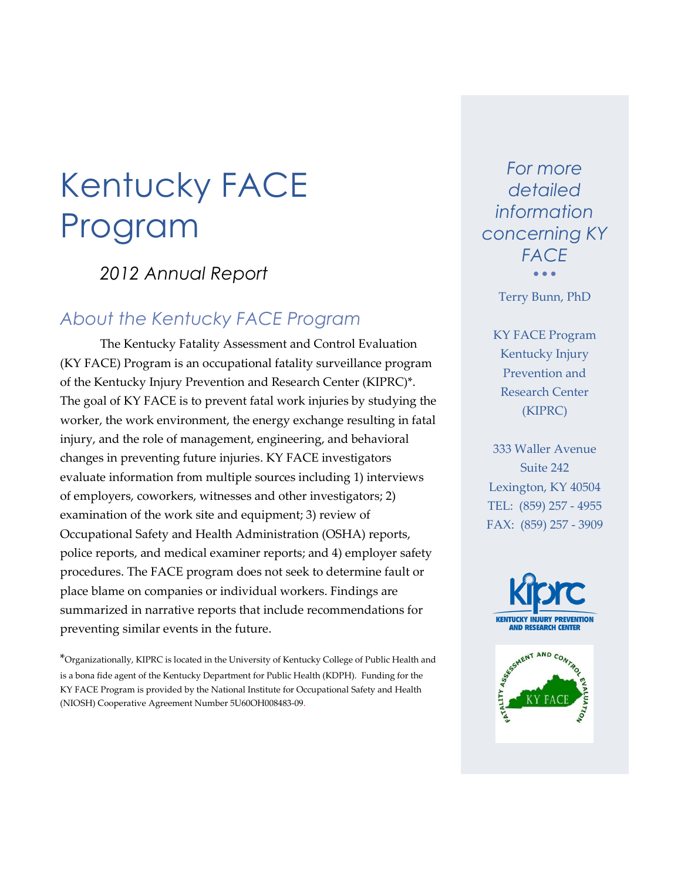### *2012 Annual Report*

### *About the Kentucky FACE Program*

The Kentucky Fatality Assessment and Control Evaluation (KY FACE) Program is an occupational fatality surveillance program of the Kentucky Injury Prevention and Research Center (KIPRC)\*. The goal of KY FACE is to prevent fatal work injuries by studying the worker, the work environment, the energy exchange resulting in fatal injury, and the role of management, engineering, and behavioral changes in preventing future injuries. KY FACE investigators evaluate information from multiple sources including 1) interviews of employers, coworkers, witnesses and other investigators; 2) examination of the work site and equipment; 3) review of Occupational Safety and Health Administration (OSHA) reports, police reports, and medical examiner reports; and 4) employer safety procedures. The FACE program does not seek to determine fault or place blame on companies or individual workers. Findings are summarized in narrative reports that include recommendations for preventing similar events in the future.

\*Organizationally, KIPRC is located in the University of Kentucky College of Public Health and is a bona fide agent of the Kentucky Department for Public Health (KDPH). Funding for the KY FACE Program is provided by the National Institute for Occupational Safety and Health (NIOSH) Cooperative Agreement Number 5U60OH008483-09.

*For more detailed information concerning KY FACE*  $\bullet$   $\bullet$   $\bullet$ 

Terry Bunn, PhD

KY FACE Program Kentucky Injury Prevention and Research Center (KIPRC)

333 Waller Avenue Suite 242 Lexington, KY 40504 TEL: (859) 257 - 4955 FAX: (859) 257 - 3909

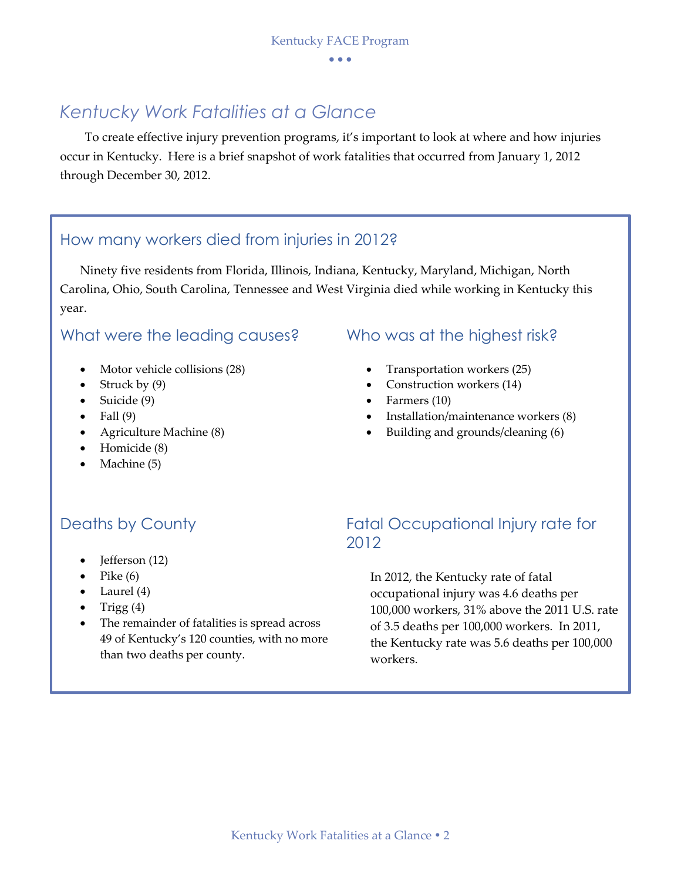### *Kentucky Work Fatalities at a Glance*

To create effective injury prevention programs, it's important to look at where and how injuries occur in Kentucky. Here is a brief snapshot of work fatalities that occurred from January 1, 2012 through December 30, 2012.

### How many workers died from injuries in 2012?

Ninety five residents from Florida, Illinois, Indiana, Kentucky, Maryland, Michigan, North Carolina, Ohio, South Carolina, Tennessee and West Virginia died while working in Kentucky this year.

### What were the leading causes? Who was at the highest risk?

- Motor vehicle collisions (28)
- Struck by  $(9)$
- $\bullet$  Suicide (9)
- $\bullet$  Fall (9)
- Agriculture Machine (8)
- Homicide (8)
- Machine (5)

- Transportation workers (25)
- Construction workers (14)
- Farmers (10)
- Installation/maintenance workers (8)
- Building and grounds/cleaning (6)

- $\bullet$  Jefferson (12)
- Pike (6)
- $\bullet$  Laurel (4)
- Trigg  $(4)$
- The remainder of fatalities is spread across 49 of Kentucky's 120 counties, with no more than two deaths per county.

### Deaths by County **Example 20 Fatal Occupational Injury rate for** 2012

In 2012, the Kentucky rate of fatal occupational injury was 4.6 deaths per 100,000 workers, 31% above the 2011 U.S. rate of 3.5 deaths per 100,000 workers. In 2011, the Kentucky rate was 5.6 deaths per 100,000 workers.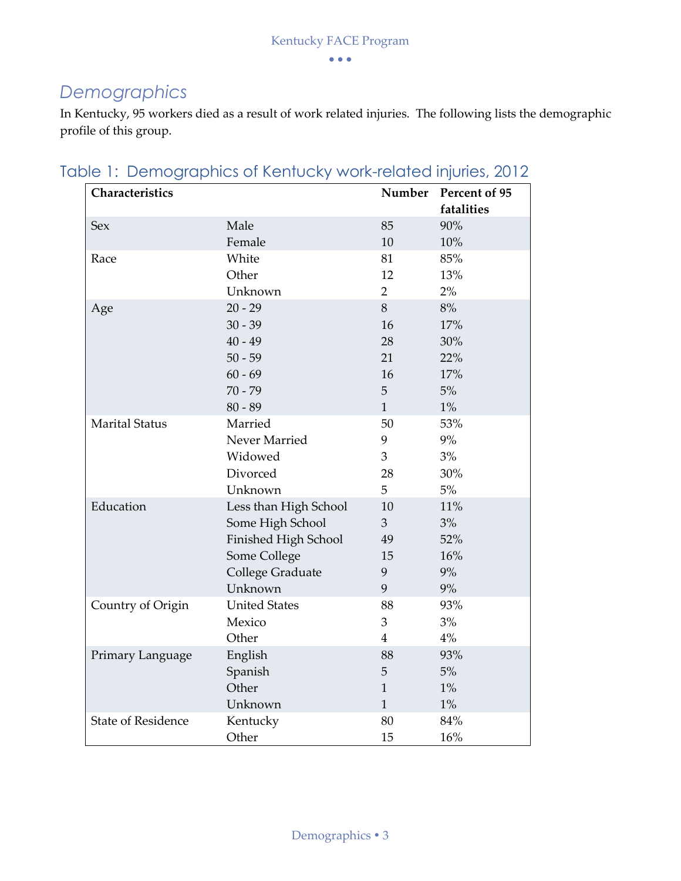# *Demographics*

In Kentucky, 95 workers died as a result of work related injuries. The following lists the demographic profile of this group.

| Characteristics           |                       | Number         | Percent of 95<br>fatalities |
|---------------------------|-----------------------|----------------|-----------------------------|
| Sex                       | Male                  | 85             | 90%                         |
|                           | Female                | 10             | 10%                         |
| Race                      | White                 | 81             | 85%                         |
|                           | Other                 | 12             | 13%                         |
|                           | Unknown               | $\overline{2}$ | 2%                          |
| Age                       | $20 - 29$             | 8              | 8%                          |
|                           | $30 - 39$             | 16             | 17%                         |
|                           | $40 - 49$             | 28             | 30%                         |
|                           | $50 - 59$             | 21             | 22%                         |
|                           | $60 - 69$             | 16             | 17%                         |
|                           | $70 - 79$             | 5              | 5%                          |
|                           | $80 - 89$             | $\mathbf{1}$   | $1\%$                       |
| <b>Marital Status</b>     | Married               | 50             | 53%                         |
|                           | Never Married         | 9              | 9%                          |
|                           | Widowed               | 3              | 3%                          |
|                           | Divorced              | 28             | 30%                         |
|                           | Unknown               | 5              | $5\%$                       |
| Education                 | Less than High School | 10             | 11%                         |
|                           | Some High School      | 3              | 3%                          |
|                           | Finished High School  | 49             | 52%                         |
|                           | Some College          | 15             | 16%                         |
|                           | College Graduate      | 9              | 9%                          |
|                           | Unknown               | 9              | 9%                          |
| Country of Origin         | <b>United States</b>  | 88             | 93%                         |
|                           | Mexico                | 3              | 3%                          |
|                           | Other                 | $\overline{4}$ | 4%                          |
| Primary Language          | English               | 88             | 93%                         |
|                           | Spanish               | 5              | $5\%$                       |
|                           | Other                 | $\mathbf{1}$   | $1\%$                       |
|                           | Unknown               | $\mathbf{1}$   | $1\%$                       |
| <b>State of Residence</b> | Kentucky              | 80             | 84%                         |
|                           | Other                 | 15             | 16%                         |

Table 1: Demographics of Kentucky work-related injuries, 2012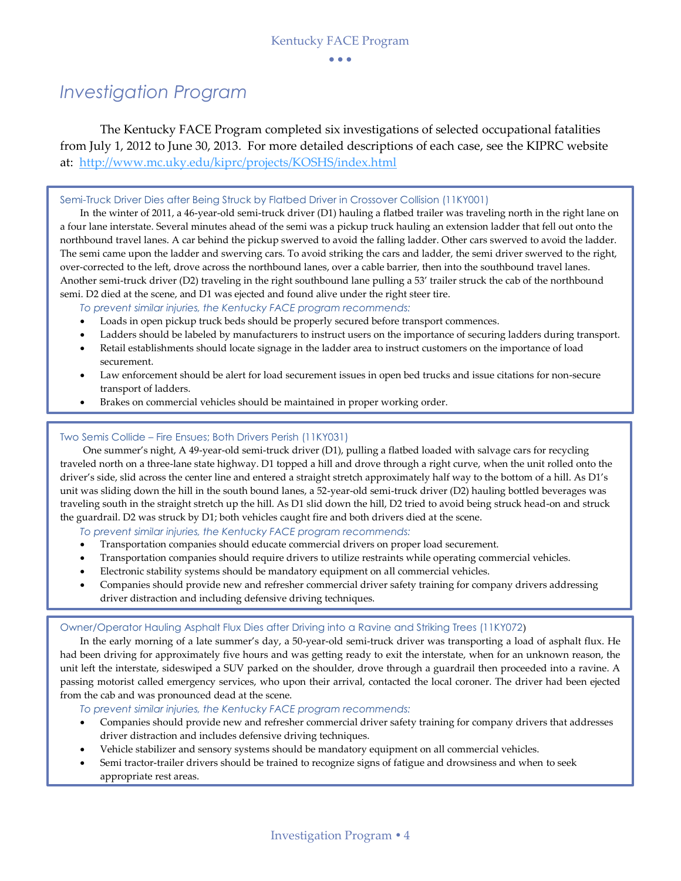# *Investigation Program*

The Kentucky FACE Program completed six investigations of selected occupational fatalities from July 1, 2012 to June 30, 2013. For more detailed descriptions of each case, see the KIPRC website at: <http://www.mc.uky.edu/kiprc/projects/KOSHS/index.html>

#### Semi-Truck Driver Dies after Being Struck by Flatbed Driver in Crossover Collision (11KY001)

In the winter of 2011, a 46-year-old semi-truck driver (D1) hauling a flatbed trailer was traveling north in the right lane on a four lane interstate. Several minutes ahead of the semi was a pickup truck hauling an extension ladder that fell out onto the northbound travel lanes. A car behind the pickup swerved to avoid the falling ladder. Other cars swerved to avoid the ladder. The semi came upon the ladder and swerving cars. To avoid striking the cars and ladder, the semi driver swerved to the right, over-corrected to the left, drove across the northbound lanes, over a cable barrier, then into the southbound travel lanes. Another semi-truck driver (D2) traveling in the right southbound lane pulling a 53' trailer struck the cab of the northbound semi. D2 died at the scene, and D1 was ejected and found alive under the right steer tire.

*To prevent similar injuries, the Kentucky FACE program recommends:*

- Loads in open pickup truck beds should be properly secured before transport commences.
- Ladders should be labeled by manufacturers to instruct users on the importance of securing ladders during transport.
- Retail establishments should locate signage in the ladder area to instruct customers on the importance of load securement.
- Law enforcement should be alert for load securement issues in open bed trucks and issue citations for non-secure transport of ladders.
- Brakes on commercial vehicles should be maintained in proper working order.

#### Two Semis Collide – Fire Ensues; Both Drivers Perish (11KY031)

One summer's night, A 49-year-old semi-truck driver (D1), pulling a flatbed loaded with salvage cars for recycling traveled north on a three-lane state highway. D1 topped a hill and drove through a right curve, when the unit rolled onto the driver's side, slid across the center line and entered a straight stretch approximately half way to the bottom of a hill. As D1's unit was sliding down the hill in the south bound lanes, a 52-year-old semi-truck driver (D2) hauling bottled beverages was traveling south in the straight stretch up the hill. As D1 slid down the hill, D2 tried to avoid being struck head-on and struck the guardrail. D2 was struck by D1; both vehicles caught fire and both drivers died at the scene.

*To prevent similar injuries, the Kentucky FACE program recommends:*

- Transportation companies should educate commercial drivers on proper load securement.
- Transportation companies should require drivers to utilize restraints while operating commercial vehicles.
- Electronic stability systems should be mandatory equipment on all commercial vehicles.
- Companies should provide new and refresher commercial driver safety training for company drivers addressing driver distraction and including defensive driving techniques.

#### Owner/Operator Hauling Asphalt Flux Dies after Driving into a Ravine and Striking Trees (11KY072)

In the early morning of a late summer's day, a 50-year-old semi-truck driver was transporting a load of asphalt flux. He had been driving for approximately five hours and was getting ready to exit the interstate, when for an unknown reason, the unit left the interstate, sideswiped a SUV parked on the shoulder, drove through a guardrail then proceeded into a ravine. A passing motorist called emergency services, who upon their arrival, contacted the local coroner. The driver had been ejected from the cab and was pronounced dead at the scene.

*To prevent similar injuries, the Kentucky FACE program recommends:*

- Companies should provide new and refresher commercial driver safety training for company drivers that addresses driver distraction and includes defensive driving techniques.
- Vehicle stabilizer and sensory systems should be mandatory equipment on all commercial vehicles.
- Semi tractor-trailer drivers should be trained to recognize signs of fatigue and drowsiness and when to seek appropriate rest areas.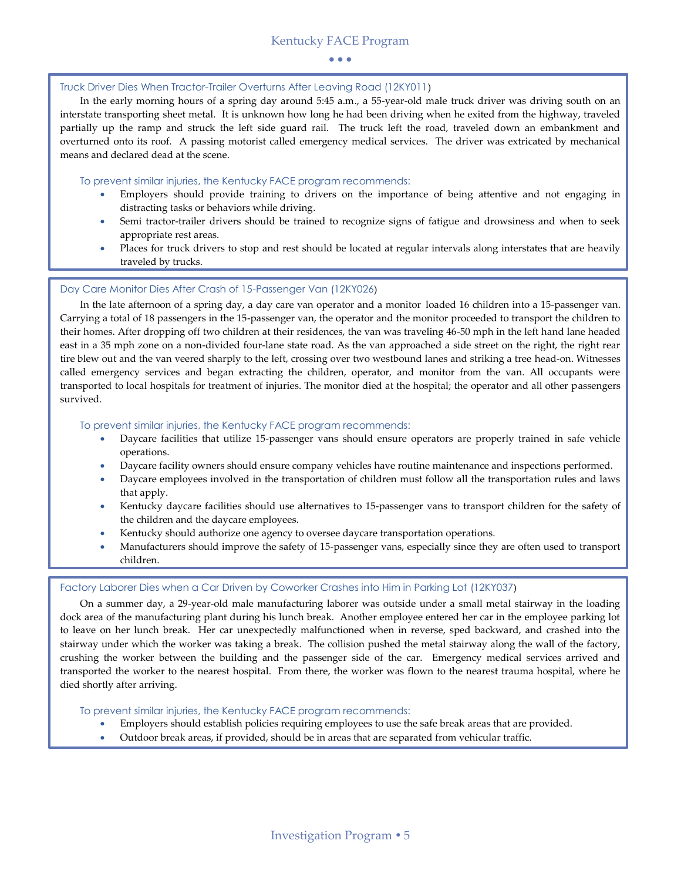#### Truck Driver Dies When Tractor-Trailer Overturns After Leaving Road (12KY011)

In the early morning hours of a spring day around 5:45 a.m., a 55-year-old male truck driver was driving south on an interstate transporting sheet metal. It is unknown how long he had been driving when he exited from the highway, traveled partially up the ramp and struck the left side guard rail. The truck left the road, traveled down an embankment and overturned onto its roof. A passing motorist called emergency medical services. The driver was extricated by mechanical means and declared dead at the scene.

#### To prevent similar injuries, the Kentucky FACE program recommends:

- Employers should provide training to drivers on the importance of being attentive and not engaging in distracting tasks or behaviors while driving.
- Semi tractor-trailer drivers should be trained to recognize signs of fatigue and drowsiness and when to seek appropriate rest areas.
- Places for truck drivers to stop and rest should be located at regular intervals along interstates that are heavily traveled by trucks.

#### Day Care Monitor Dies After Crash of 15-Passenger Van (12KY026)

In the late afternoon of a spring day, a day care van operator and a monitor loaded 16 children into a 15-passenger van. Carrying a total of 18 passengers in the 15-passenger van, the operator and the monitor proceeded to transport the children to their homes. After dropping off two children at their residences, the van was traveling 46-50 mph in the left hand lane headed east in a 35 mph zone on a non-divided four-lane state road. As the van approached a side street on the right, the right rear tire blew out and the van veered sharply to the left, crossing over two westbound lanes and striking a tree head-on. Witnesses called emergency services and began extracting the children, operator, and monitor from the van. All occupants were transported to local hospitals for treatment of injuries. The monitor died at the hospital; the operator and all other passengers survived.

#### To prevent similar injuries, the Kentucky FACE program recommends:

- Daycare facilities that utilize 15-passenger vans should ensure operators are properly trained in safe vehicle operations.
- Daycare facility owners should ensure company vehicles have routine maintenance and inspections performed.
- Daycare employees involved in the transportation of children must follow all the transportation rules and laws that apply.
- Kentucky daycare facilities should use alternatives to 15-passenger vans to transport children for the safety of the children and the daycare employees.
- Kentucky should authorize one agency to oversee daycare transportation operations.
- Manufacturers should improve the safety of 15-passenger vans, especially since they are often used to transport children.

#### Factory Laborer Dies when a Car Driven by Coworker Crashes into Him in Parking Lot (12KY037)

On a summer day, a 29-year-old male manufacturing laborer was outside under a small metal stairway in the loading dock area of the manufacturing plant during his lunch break. Another employee entered her car in the employee parking lot to leave on her lunch break. Her car unexpectedly malfunctioned when in reverse, sped backward, and crashed into the stairway under which the worker was taking a break. The collision pushed the metal stairway along the wall of the factory, crushing the worker between the building and the passenger side of the car. Emergency medical services arrived and transported the worker to the nearest hospital. From there, the worker was flown to the nearest trauma hospital, where he died shortly after arriving.

#### To prevent similar injuries, the Kentucky FACE program recommends:

- Employers should establish policies requiring employees to use the safe break areas that are provided.
- Outdoor break areas, if provided, should be in areas that are separated from vehicular traffic.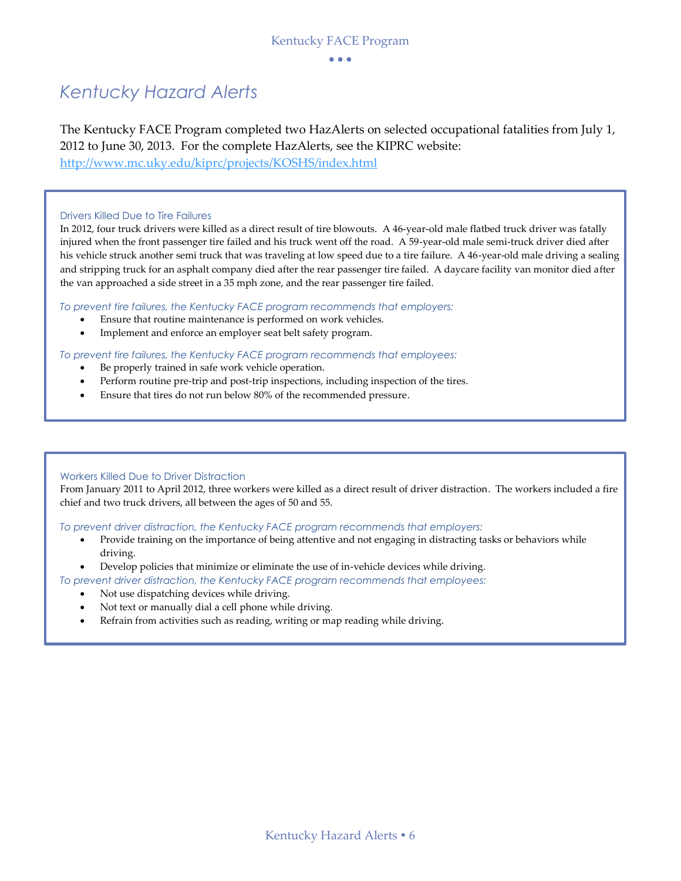$\bullet$   $\bullet$   $\bullet$ 

### *Kentucky Hazard Alerts*

The Kentucky FACE Program completed two HazAlerts on selected occupational fatalities from July 1, 2012 to June 30, 2013. For the complete HazAlerts, see the KIPRC website:

<http://www.mc.uky.edu/kiprc/projects/KOSHS/index.html>

#### Drivers Killed Due to Tire Failures

In 2012, four truck drivers were killed as a direct result of tire blowouts. A 46-year-old male flatbed truck driver was fatally injured when the front passenger tire failed and his truck went off the road. A 59-year-old male semi-truck driver died after his vehicle struck another semi truck that was traveling at low speed due to a tire failure. A 46-year-old male driving a sealing and stripping truck for an asphalt company died after the rear passenger tire failed. A daycare facility van monitor died after the van approached a side street in a 35 mph zone, and the rear passenger tire failed.

*To prevent tire failures, the Kentucky FACE program recommends that employers:*

- Ensure that routine maintenance is performed on work vehicles.
- Implement and enforce an employer seat belt safety program.

*To prevent tire failures, the Kentucky FACE program recommends that employees:*

- Be properly trained in safe work vehicle operation.
- Perform routine pre-trip and post-trip inspections, including inspection of the tires.
- Ensure that tires do not run below 80% of the recommended pressure.

#### Workers Killed Due to Driver Distraction

From January 2011 to April 2012, three workers were killed as a direct result of driver distraction. The workers included a fire chief and two truck drivers, all between the ages of 50 and 55.

*To prevent driver distraction, the Kentucky FACE program recommends that employers:*

- Provide training on the importance of being attentive and not engaging in distracting tasks or behaviors while driving.
- Develop policies that minimize or eliminate the use of in-vehicle devices while driving.

*To prevent driver distraction, the Kentucky FACE program recommends that employees:*

- Not use dispatching devices while driving.
- Not text or manually dial a cell phone while driving.
- Refrain from activities such as reading, writing or map reading while driving.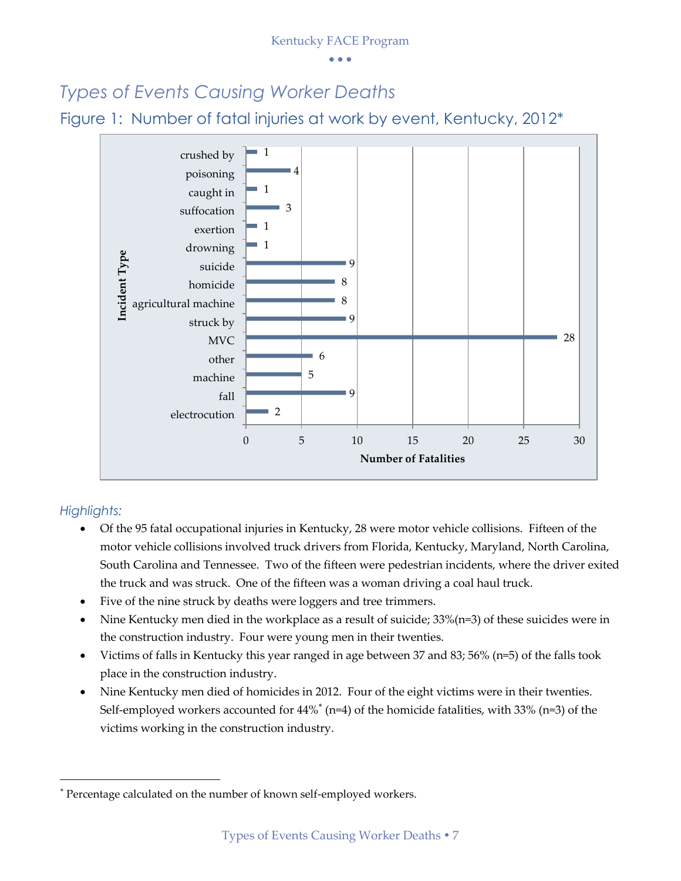$\bullet$   $\bullet$   $\bullet$ 

### *Types of Events Causing Worker Deaths*

Figure 1: Number of fatal injuries at work by event, Kentucky, 2012\*



### *Highlights:*

1

- Of the 95 fatal occupational injuries in Kentucky, 28 were motor vehicle collisions. Fifteen of the motor vehicle collisions involved truck drivers from Florida, Kentucky, Maryland, North Carolina, South Carolina and Tennessee. Two of the fifteen were pedestrian incidents, where the driver exited the truck and was struck. One of the fifteen was a woman driving a coal haul truck.
- Five of the nine struck by deaths were loggers and tree trimmers.
- Nine Kentucky men died in the workplace as a result of suicide; 33%(n=3) of these suicides were in the construction industry. Four were young men in their twenties.
- Victims of falls in Kentucky this year ranged in age between 37 and 83; 56% (n=5) of the falls took place in the construction industry.
- Nine Kentucky men died of homicides in 2012. Four of the eight victims were in their twenties. Self-employed workers accounted for 44%<sup>\*</sup> (n=4) of the homicide fatalities, with 33% (n=3) of the victims working in the construction industry.

Percentage calculated on the number of known self-employed workers.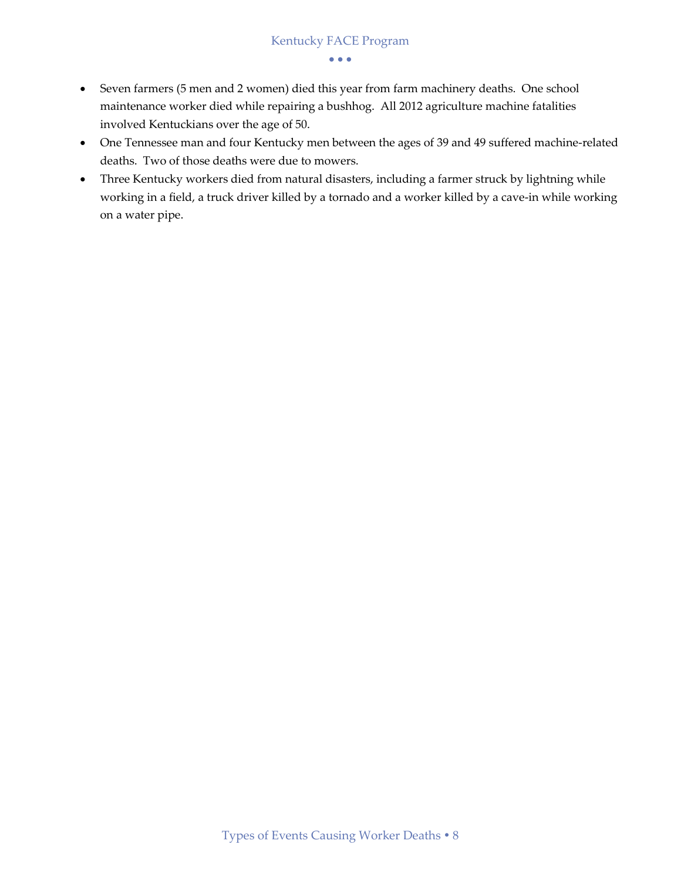- Seven farmers (5 men and 2 women) died this year from farm machinery deaths. One school maintenance worker died while repairing a bushhog. All 2012 agriculture machine fatalities involved Kentuckians over the age of 50.
- One Tennessee man and four Kentucky men between the ages of 39 and 49 suffered machine-related deaths. Two of those deaths were due to mowers.
- Three Kentucky workers died from natural disasters, including a farmer struck by lightning while working in a field, a truck driver killed by a tornado and a worker killed by a cave-in while working on a water pipe.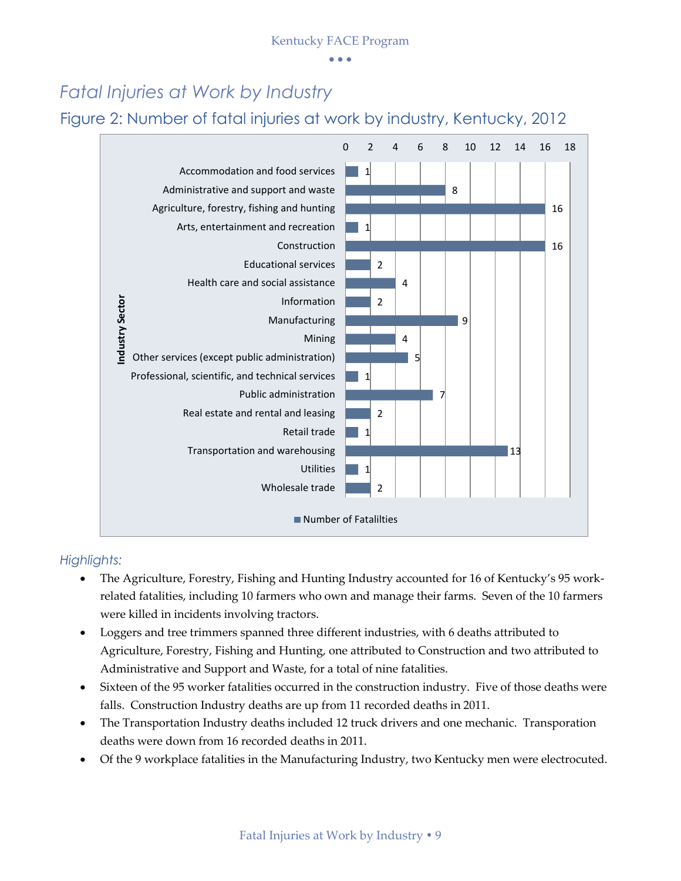$\bullet$   $\bullet$   $\bullet$ 

### *Fatal Injuries at Work by Industry*

Figure 2: Number of fatal injuries at work by industry, Kentucky, 2012



### *Highlights:*

- The Agriculture, Forestry, Fishing and Hunting Industry accounted for 16 of Kentucky's 95 workrelated fatalities, including 10 farmers who own and manage their farms. Seven of the 10 farmers were killed in incidents involving tractors.
- Loggers and tree trimmers spanned three different industries, with 6 deaths attributed to Agriculture, Forestry, Fishing and Hunting, one attributed to Construction and two attributed to Administrative and Support and Waste, for a total of nine fatalities.
- Sixteen of the 95 worker fatalities occurred in the construction industry. Five of those deaths were falls. Construction Industry deaths are up from 11 recorded deaths in 2011.
- The Transportation Industry deaths included 12 truck drivers and one mechanic. Transporation deaths were down from 16 recorded deaths in 2011.
- Of the 9 workplace fatalities in the Manufacturing Industry, two Kentucky men were electrocuted.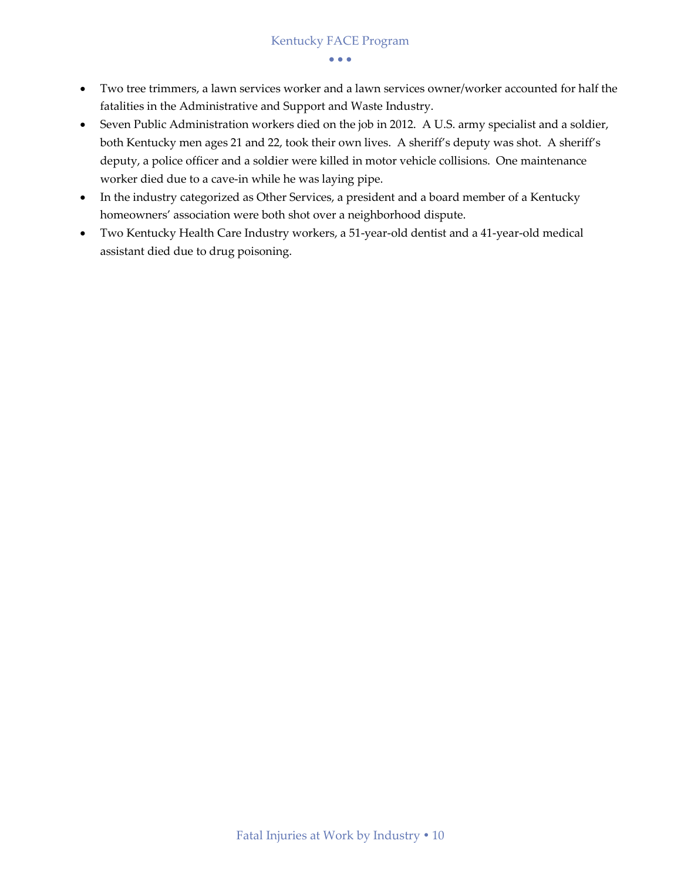- Two tree trimmers, a lawn services worker and a lawn services owner/worker accounted for half the fatalities in the Administrative and Support and Waste Industry.
- Seven Public Administration workers died on the job in 2012. A U.S. army specialist and a soldier, both Kentucky men ages 21 and 22, took their own lives. A sheriff's deputy was shot. A sheriff's deputy, a police officer and a soldier were killed in motor vehicle collisions. One maintenance worker died due to a cave-in while he was laying pipe.
- In the industry categorized as Other Services, a president and a board member of a Kentucky homeowners' association were both shot over a neighborhood dispute.
- Two Kentucky Health Care Industry workers, a 51-year-old dentist and a 41-year-old medical assistant died due to drug poisoning.